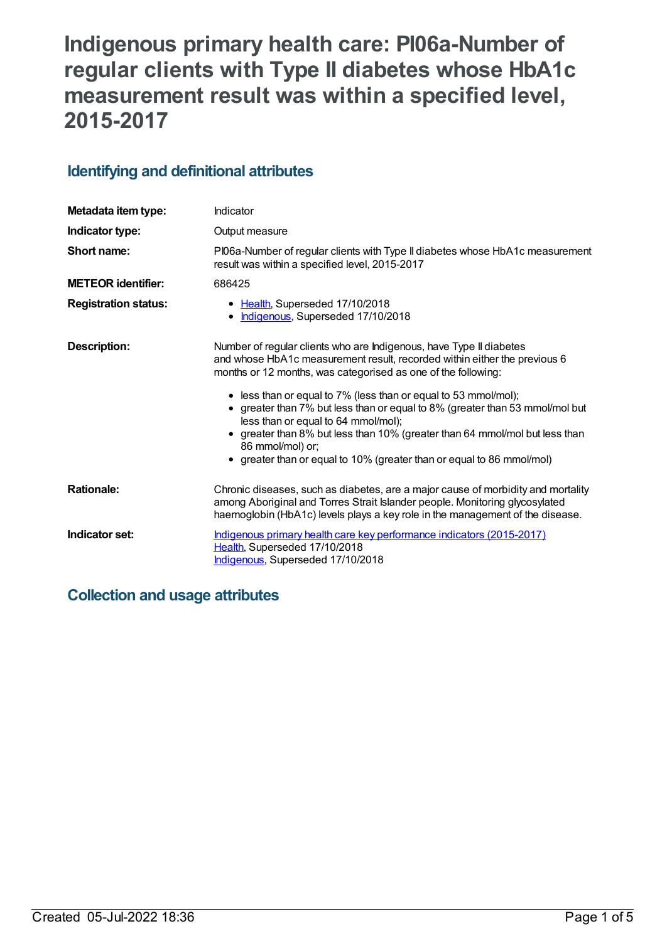# **Indigenous primary health care: PI06a-Number of regular clients with Type II diabetes whose HbA1c measurement result was within a specified level, 2015-2017**

# **Identifying and definitional attributes**

| Metadata item type:         | Indicator                                                                                                                                                                                                                                                                                                                                                                                                                                                                                |  |
|-----------------------------|------------------------------------------------------------------------------------------------------------------------------------------------------------------------------------------------------------------------------------------------------------------------------------------------------------------------------------------------------------------------------------------------------------------------------------------------------------------------------------------|--|
| Indicator type:             | Output measure                                                                                                                                                                                                                                                                                                                                                                                                                                                                           |  |
| Short name:                 | PI06a-Number of regular clients with Type II diabetes whose HbA1c measurement<br>result was within a specified level, 2015-2017                                                                                                                                                                                                                                                                                                                                                          |  |
| <b>METEOR identifier:</b>   | 686425                                                                                                                                                                                                                                                                                                                                                                                                                                                                                   |  |
| <b>Registration status:</b> | • Health, Superseded 17/10/2018<br>Indigenous, Superseded 17/10/2018<br>$\bullet$                                                                                                                                                                                                                                                                                                                                                                                                        |  |
| Description:                | Number of regular clients who are Indigenous, have Type II diabetes<br>and whose HbA1c measurement result, recorded within either the previous 6<br>months or 12 months, was categorised as one of the following:<br>• less than or equal to 7% (less than or equal to 53 mmol/mol);<br>• greater than 7% but less than or equal to 8% (greater than 53 mmol/mol but<br>less than or equal to 64 mmol/mol);<br>greater than 8% but less than 10% (greater than 64 mmol/mol but less than |  |
|                             | 86 mmol/mol) or;<br>• greater than or equal to 10% (greater than or equal to 86 mmol/mol)                                                                                                                                                                                                                                                                                                                                                                                                |  |
| <b>Rationale:</b>           | Chronic diseases, such as diabetes, are a major cause of morbidity and mortality<br>among Aboriginal and Torres Strait Islander people. Monitoring glycosylated<br>haemoglobin (HbA1c) levels plays a key role in the management of the disease.                                                                                                                                                                                                                                         |  |
| Indicator set:              | Indigenous primary health care key performance indicators (2015-2017)<br>Health, Superseded 17/10/2018<br>Indigenous, Superseded 17/10/2018                                                                                                                                                                                                                                                                                                                                              |  |

# **Collection and usage attributes**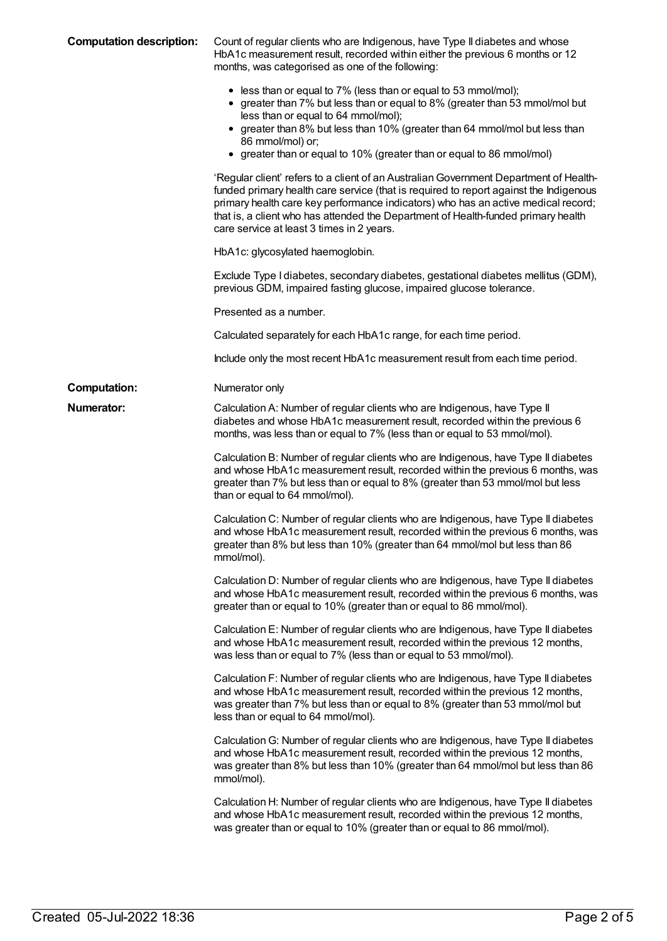| <b>Computation description:</b> | Count of regular clients who are Indigenous, have Type II diabetes and whose<br>HbA1c measurement result, recorded within either the previous 6 months or 12<br>months, was categorised as one of the following:                                                                                                                                                                                      |
|---------------------------------|-------------------------------------------------------------------------------------------------------------------------------------------------------------------------------------------------------------------------------------------------------------------------------------------------------------------------------------------------------------------------------------------------------|
|                                 | • less than or equal to 7% (less than or equal to 53 mmol/mol);<br>• greater than 7% but less than or equal to 8% (greater than 53 mmol/mol but<br>less than or equal to 64 mmol/mol);<br>• greater than 8% but less than 10% (greater than 64 mmol/mol but less than<br>86 mmol/mol) or;<br>• greater than or equal to 10% (greater than or equal to 86 mmol/mol)                                    |
|                                 | 'Regular client' refers to a client of an Australian Government Department of Health-<br>funded primary health care service (that is required to report against the Indigenous<br>primary health care key performance indicators) who has an active medical record;<br>that is, a client who has attended the Department of Health-funded primary health<br>care service at least 3 times in 2 years. |
|                                 | HbA1c: glycosylated haemoglobin.                                                                                                                                                                                                                                                                                                                                                                      |
|                                 | Exclude Type I diabetes, secondary diabetes, gestational diabetes mellitus (GDM),<br>previous GDM, impaired fasting glucose, impaired glucose tolerance.                                                                                                                                                                                                                                              |
|                                 | Presented as a number.                                                                                                                                                                                                                                                                                                                                                                                |
|                                 | Calculated separately for each HbA1c range, for each time period.                                                                                                                                                                                                                                                                                                                                     |
|                                 | Include only the most recent HbA1c measurement result from each time period.                                                                                                                                                                                                                                                                                                                          |
| <b>Computation:</b>             | Numerator only                                                                                                                                                                                                                                                                                                                                                                                        |
| <b>Numerator:</b>               | Calculation A: Number of regular clients who are Indigenous, have Type II<br>diabetes and whose HbA1c measurement result, recorded within the previous 6<br>months, was less than or equal to 7% (less than or equal to 53 mmol/mol).                                                                                                                                                                 |
|                                 | Calculation B: Number of regular clients who are Indigenous, have Type II diabetes<br>and whose HbA1c measurement result, recorded within the previous 6 months, was<br>greater than 7% but less than or equal to 8% (greater than 53 mmol/mol but less<br>than or equal to 64 mmol/mol).                                                                                                             |
|                                 | Calculation C: Number of regular clients who are Indigenous, have Type II diabetes<br>and whose HbA1c measurement result, recorded within the previous 6 months, was<br>greater than 8% but less than 10% (greater than 64 mmol/mol but less than 86<br>mmol/mol).                                                                                                                                    |
|                                 | Calculation D: Number of regular clients who are Indigenous, have Type II diabetes<br>and whose HbA1c measurement result, recorded within the previous 6 months, was<br>greater than or equal to 10% (greater than or equal to 86 mmol/mol).                                                                                                                                                          |
|                                 | Calculation E: Number of regular clients who are Indigenous, have Type II diabetes<br>and whose HbA1c measurement result, recorded within the previous 12 months,<br>was less than or equal to 7% (less than or equal to 53 mmol/mol).                                                                                                                                                                |
|                                 | Calculation F: Number of regular clients who are Indigenous, have Type II diabetes<br>and whose HbA1c measurement result, recorded within the previous 12 months,<br>was greater than 7% but less than or equal to 8% (greater than 53 mmol/mol but<br>less than or equal to 64 mmol/mol).                                                                                                            |
|                                 | Calculation G: Number of regular clients who are Indigenous, have Type II diabetes<br>and whose HbA1c measurement result, recorded within the previous 12 months,<br>was greater than 8% but less than 10% (greater than 64 mmol/mol but less than 86<br>mmol/mol).                                                                                                                                   |
|                                 | Calculation H: Number of regular clients who are Indigenous, have Type II diabetes<br>and whose HbA1c measurement result, recorded within the previous 12 months,<br>was greater than or equal to 10% (greater than or equal to 86 mmol/mol).                                                                                                                                                         |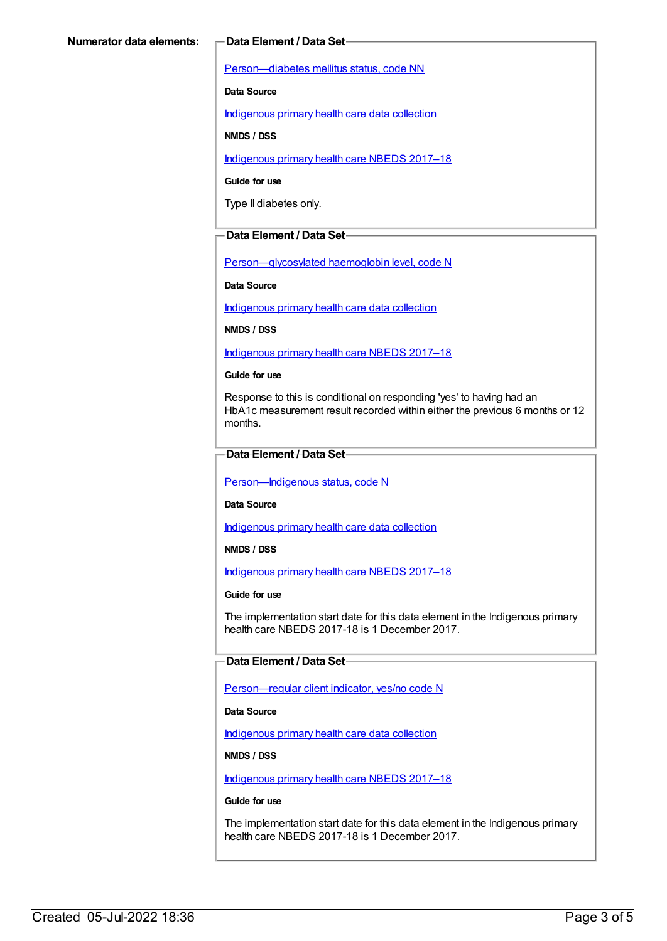[Person—diabetes](https://meteor.aihw.gov.au/content/270194) mellitus status, code NN

**Data Source**

[Indigenous](https://meteor.aihw.gov.au/content/430643) primary health care data collection

**NMDS / DSS**

[Indigenous](https://meteor.aihw.gov.au/content/686603) primary health care NBEDS 2017–18

**Guide for use**

Type II diabetes only.

#### **Data Element / Data Set**

[Person—glycosylated](https://meteor.aihw.gov.au/content/589601) haemoglobin level, code N

**Data Source**

[Indigenous](https://meteor.aihw.gov.au/content/430643) primary health care data collection

**NMDS / DSS**

[Indigenous](https://meteor.aihw.gov.au/content/686603) primary health care NBEDS 2017–18

**Guide for use**

Response to this is conditional on responding 'yes' to having had an HbA1c measurement result recorded within either the previous 6 months or 12 months.

### **Data Element / Data Set**

Person-Indigenous status, code N

**Data Source**

[Indigenous](https://meteor.aihw.gov.au/content/430643) primary health care data collection

**NMDS / DSS**

[Indigenous](https://meteor.aihw.gov.au/content/686603) primary health care NBEDS 2017–18

#### **Guide for use**

The implementation start date for this data element in the Indigenous primary health care NBEDS 2017-18 is 1 December 2017.

#### **Data Element / Data Set**

[Person—regular](https://meteor.aihw.gov.au/content/686291) client indicator, yes/no code N

#### **Data Source**

[Indigenous](https://meteor.aihw.gov.au/content/430643) primary health care data collection

#### **NMDS / DSS**

[Indigenous](https://meteor.aihw.gov.au/content/686603) primary health care NBEDS 2017–18

**Guide for use**

The implementation start date for this data element in the Indigenous primary health care NBEDS 2017-18 is 1 December 2017.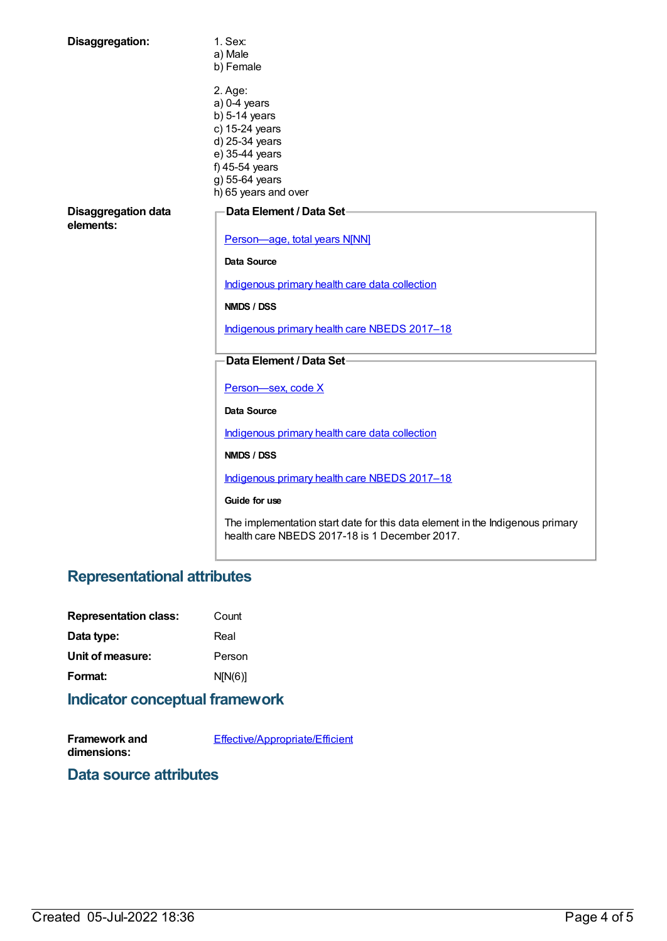| Disaggregation:                  | 1. Sex:<br>a) Male<br>b) Female                                                                                                                                |
|----------------------------------|----------------------------------------------------------------------------------------------------------------------------------------------------------------|
|                                  | 2. Age:<br>$a)$ 0-4 years<br>$b)$ 5-14 years<br>c) 15-24 years<br>d) 25-34 years<br>e) 35-44 years<br>f) 45-54 years<br>g) 55-64 years<br>h) 65 years and over |
| Disaggregation data<br>elements: | Data Element / Data Set-                                                                                                                                       |
|                                  | Person-age, total years N[NN]                                                                                                                                  |
|                                  | Data Source                                                                                                                                                    |
|                                  | Indigenous primary health care data collection                                                                                                                 |
|                                  | NMDS / DSS                                                                                                                                                     |
|                                  | Indigenous primary health care NBEDS 2017-18                                                                                                                   |
|                                  | Data Element / Data Set-                                                                                                                                       |
|                                  | Person-sex, code X                                                                                                                                             |
|                                  | <b>Data Source</b>                                                                                                                                             |
|                                  | Indigenous primary health care data collection                                                                                                                 |
|                                  | NMDS / DSS                                                                                                                                                     |
|                                  | Indigenous primary health care NBEDS 2017-18                                                                                                                   |
|                                  | Guide for use                                                                                                                                                  |
|                                  | The implementation start date for this data element in the Indigenous primary<br>health care NBEDS 2017-18 is 1 December 2017.                                 |

# **Representational attributes**

| <b>Representation class:</b> | Count   |
|------------------------------|---------|
| Data type:                   | Real    |
| Unit of measure:             | Person  |
| Format:                      | N[N(6)] |
|                              |         |

### **Indicator conceptual framework**

**Framework and dimensions:** [Effective/Appropriate/Efficient](https://meteor.aihw.gov.au/content/410681)

# **Data source attributes**